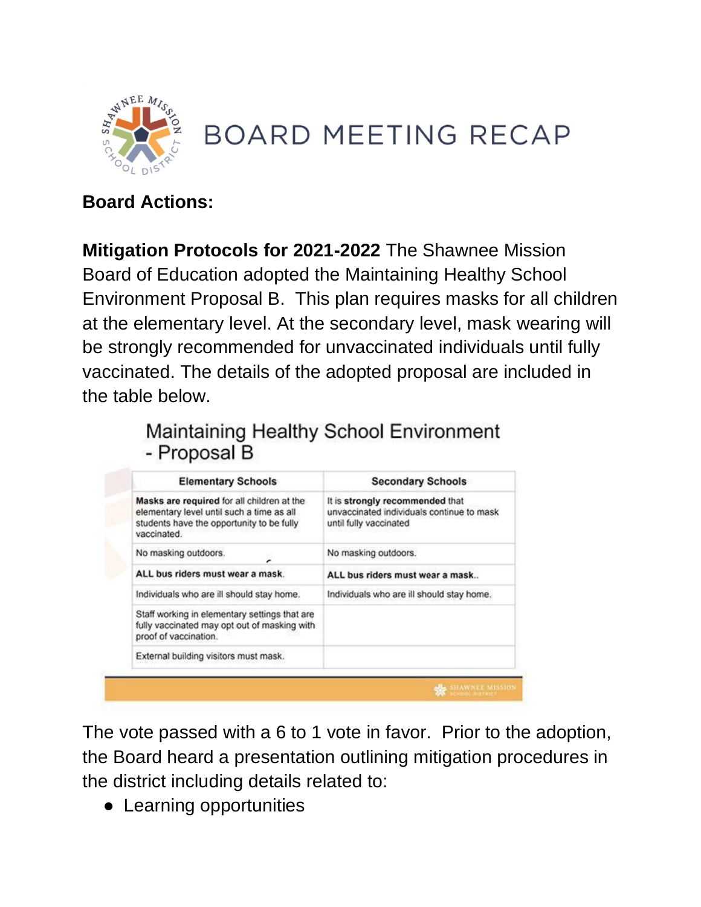

# **BOARD MEETING RECAP**

#### **Board Actions:**

**Mitigation Protocols for 2021-2022** The Shawnee Mission Board of Education adopted the Maintaining Healthy School Environment Proposal B. This plan requires masks for all children at the elementary level. At the secondary level, mask wearing will be strongly recommended for unvaccinated individuals until fully vaccinated. The details of the adopted proposal are included in the table below.

#### Maintaining Healthy School Environment - Proposal B

| <b>Elementary Schools</b>                                                                                                                           | <b>Secondary Schools</b>                                                                               |
|-----------------------------------------------------------------------------------------------------------------------------------------------------|--------------------------------------------------------------------------------------------------------|
| Masks are required for all children at the<br>elementary level until such a time as all<br>students have the opportunity to be fully<br>vaccinated. | It is strongly recommended that<br>unvaccinated individuals continue to mask<br>until fully vaccinated |
| No masking outdoors.                                                                                                                                | No masking outdoors.                                                                                   |
| ALL bus riders must wear a mask.                                                                                                                    | ALL bus riders must wear a mask                                                                        |
| Individuals who are ill should stay home.                                                                                                           | Individuals who are ill should stay home.                                                              |
| Staff working in elementary settings that are<br>fully vaccinated may opt out of masking with<br>proof of vaccination.                              |                                                                                                        |
| External building visitors must mask.                                                                                                               |                                                                                                        |
|                                                                                                                                                     | <b>HAWNEE MISSION</b>                                                                                  |

The vote passed with a 6 to 1 vote in favor. Prior to the adoption, the Board heard a presentation outlining mitigation procedures in the district including details related to:

• Learning opportunities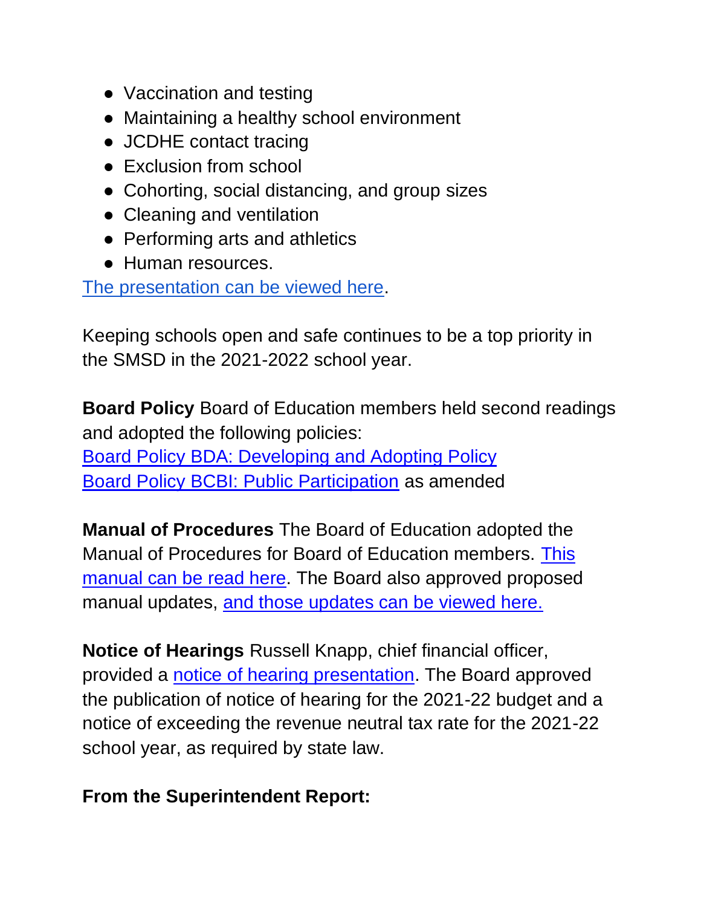- Vaccination and testing
- Maintaining a healthy school environment
- JCDHE contact tracing
- Exclusion from school
- Cohorting, social distancing, and group sizes
- Cleaning and ventilation
- Performing arts and athletics
- Human resources.

[The presentation can be viewed here.](https://go.boarddocs.com/ks/smsd/Board.nsf/files/C5B6BN700D29/$file/COVID%2019%20Mitigating%20Presentation.pdf)

Keeping schools open and safe continues to be a top priority in the SMSD in the 2021-2022 school year.

**Board Policy** Board of Education members held second readings and adopted the following policies: [Board Policy BDA: Developing and Adopting Policy](http://go.boarddocs.com/ks/smsd/Board.nsf/goto?open&id=C4FTBU7685A1) [Board Policy BCBI: Public Participation](http://go.boarddocs.com/ks/smsd/Board.nsf/goto?open&id=C4FTBX768DE8) as amended

**Manual of Procedures** The Board of Education adopted the Manual of Procedures for Board of Education members[.](https://go.boarddocs.com/ks/smsd/Board.nsf/files/C57R7C6C96C2/$file/SMSD%20BOE%20Manual%20Rev%20July%202021.pdf) [This](https://go.boarddocs.com/ks/smsd/Board.nsf/files/C57R7C6C96C2/$file/SMSD%20BOE%20Manual%20Rev%20July%202021.pdf)  [manual can be read here.](https://go.boarddocs.com/ks/smsd/Board.nsf/files/C57R7C6C96C2/$file/SMSD%20BOE%20Manual%20Rev%20July%202021.pdf) The Board also approved proposed manual updates[,](http://go.boarddocs.com/ks/smsd/Board.nsf/goto?open&id=C54RUW6EB3C2) [and those updates can be viewed here.](http://go.boarddocs.com/ks/smsd/Board.nsf/goto?open&id=C54RUW6EB3C2)

**Notice of Hearings** Russell Knapp, chief financial officer, provided [a](https://go.boarddocs.com/ks/smsd/Board.nsf/files/C55GLJ442B66/$file/Notice%20of%20Hearing%20Presentation%202021.pdf) [notice of hearing presentation.](https://go.boarddocs.com/ks/smsd/Board.nsf/files/C55GLJ442B66/$file/Notice%20of%20Hearing%20Presentation%202021.pdf) The Board approved the publication of notice of hearing for the 2021-22 budget and a notice of exceeding the revenue neutral tax rate for the 2021-22 school year, as required by state law.

#### **From the Superintendent Report:**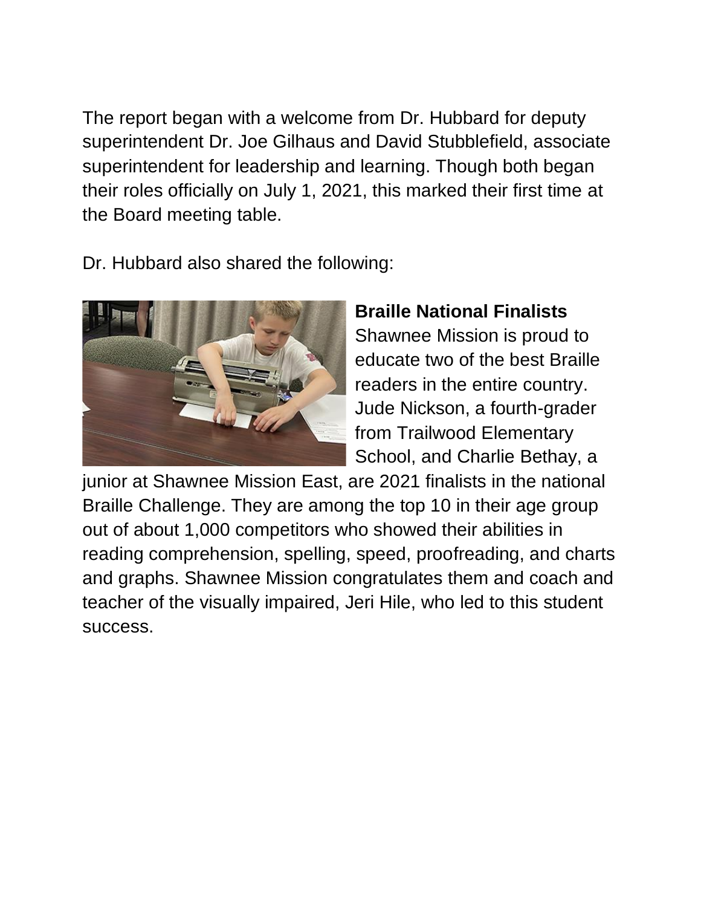The report began with a welcome from Dr. Hubbard for deputy superintendent Dr. Joe Gilhaus and David Stubblefield, associate superintendent for leadership and learning. Though both began their roles officially on July 1, 2021, this marked their first time at the Board meeting table.

Dr. Hubbard also shared the following:



## **Braille National Finalists**

Shawnee Mission is proud to educate two of the best Braille readers in the entire country. Jude Nickson, a fourth-grader from Trailwood Elementary School, and Charlie Bethay, a

junior at Shawnee Mission East, are 2021 finalists in the national Braille Challenge. They are among the top 10 in their age group out of about 1,000 competitors who showed their abilities in reading comprehension, spelling, speed, proofreading, and charts and graphs. Shawnee Mission congratulates them and coach and teacher of the visually impaired, Jeri Hile, who led to this student success.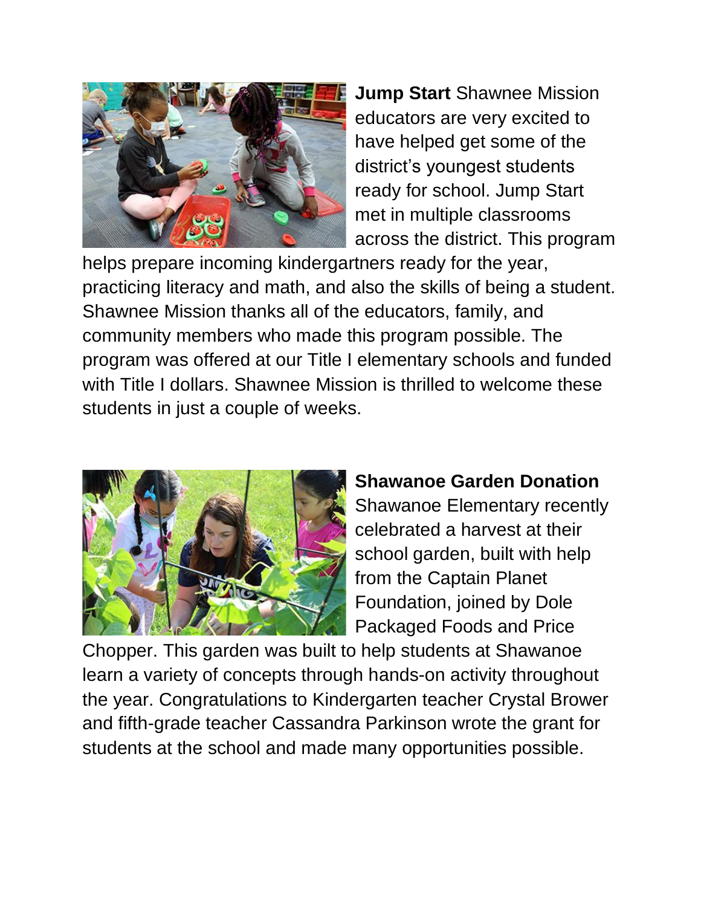

**Jump Start** Shawnee Mission educators are very excited to have helped get some of the district's youngest students ready for school. Jump Start met in multiple classrooms across the district. This program

helps prepare incoming kindergartners ready for the year, practicing literacy and math, and also the skills of being a student. Shawnee Mission thanks all of the educators, family, and community members who made this program possible. The program was offered at our Title I elementary schools and funded with Title I dollars. Shawnee Mission is thrilled to welcome these students in just a couple of weeks.



## **Shawanoe Garden Donation**

Shawanoe Elementary recently celebrated a harvest at their school garden, built with help from the Captain Planet Foundation, joined by Dole Packaged Foods and Price

Chopper. This garden was built to help students at Shawanoe learn a variety of concepts through hands-on activity throughout the year. Congratulations to Kindergarten teacher Crystal Brower and fifth-grade teacher Cassandra Parkinson wrote the grant for students at the school and made many opportunities possible.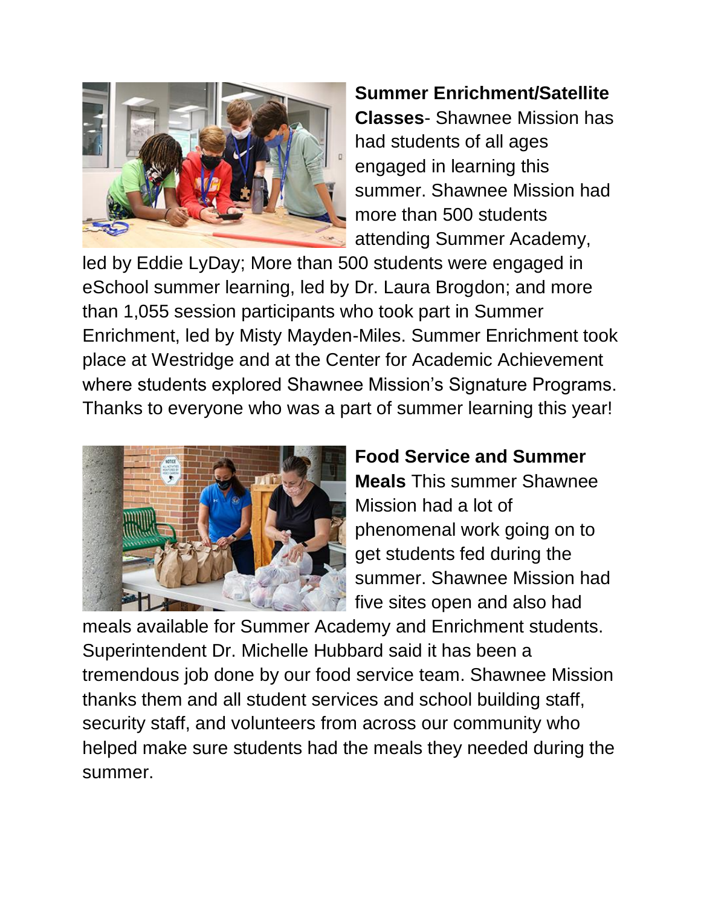

**Summer Enrichment/Satellite Classes**- Shawnee Mission has had students of all ages engaged in learning this summer. Shawnee Mission had more than 500 students attending Summer Academy,

led by Eddie LyDay; More than 500 students were engaged in eSchool summer learning, led by Dr. Laura Brogdon; and more than 1,055 session participants who took part in Summer Enrichment, led by Misty Mayden-Miles. Summer Enrichment took place at Westridge and at the Center for Academic Achievement where students explored Shawnee Mission's Signature Programs. Thanks to everyone who was a part of summer learning this year!



## **Food Service and Summer**

**Meals** This summer Shawnee Mission had a lot of phenomenal work going on to get students fed during the summer. Shawnee Mission had five sites open and also had

meals available for Summer Academy and Enrichment students. Superintendent Dr. Michelle Hubbard said it has been a tremendous job done by our food service team. Shawnee Mission thanks them and all student services and school building staff, security staff, and volunteers from across our community who helped make sure students had the meals they needed during the summer.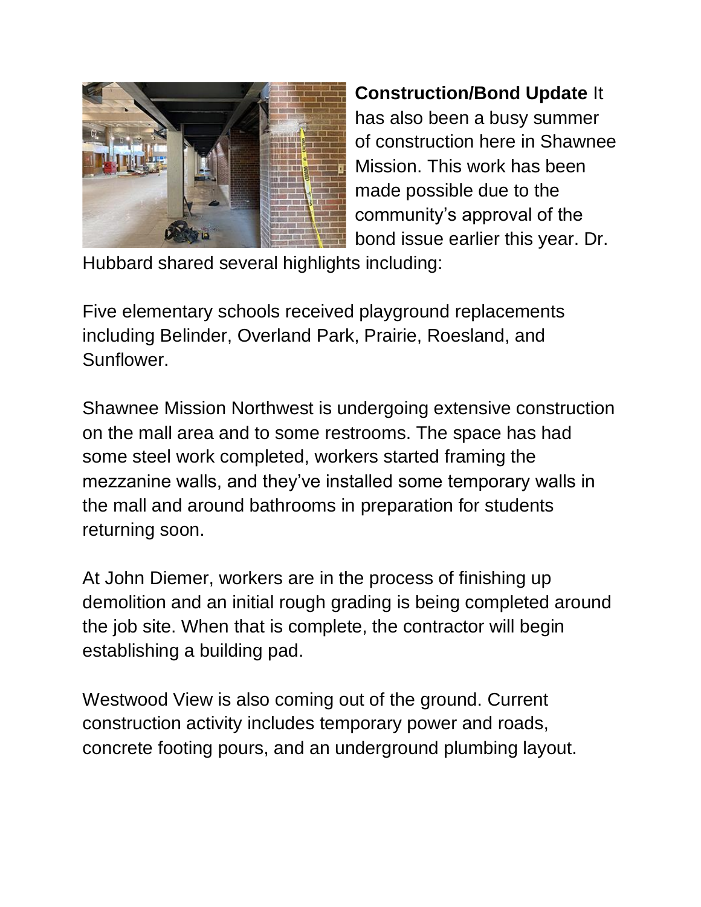

**Construction/Bond Update** It has also been a busy summer of construction here in Shawnee Mission. This work has been made possible due to the community's approval of the bond issue earlier this year. Dr.

Hubbard shared several highlights including:

Five elementary schools received playground replacements including Belinder, Overland Park, Prairie, Roesland, and Sunflower.

Shawnee Mission Northwest is undergoing extensive construction on the mall area and to some restrooms. The space has had some steel work completed, workers started framing the mezzanine walls, and they've installed some temporary walls in the mall and around bathrooms in preparation for students returning soon.

At John Diemer, workers are in the process of finishing up demolition and an initial rough grading is being completed around the job site. When that is complete, the contractor will begin establishing a building pad.

Westwood View is also coming out of the ground. Current construction activity includes temporary power and roads, concrete footing pours, and an underground plumbing layout.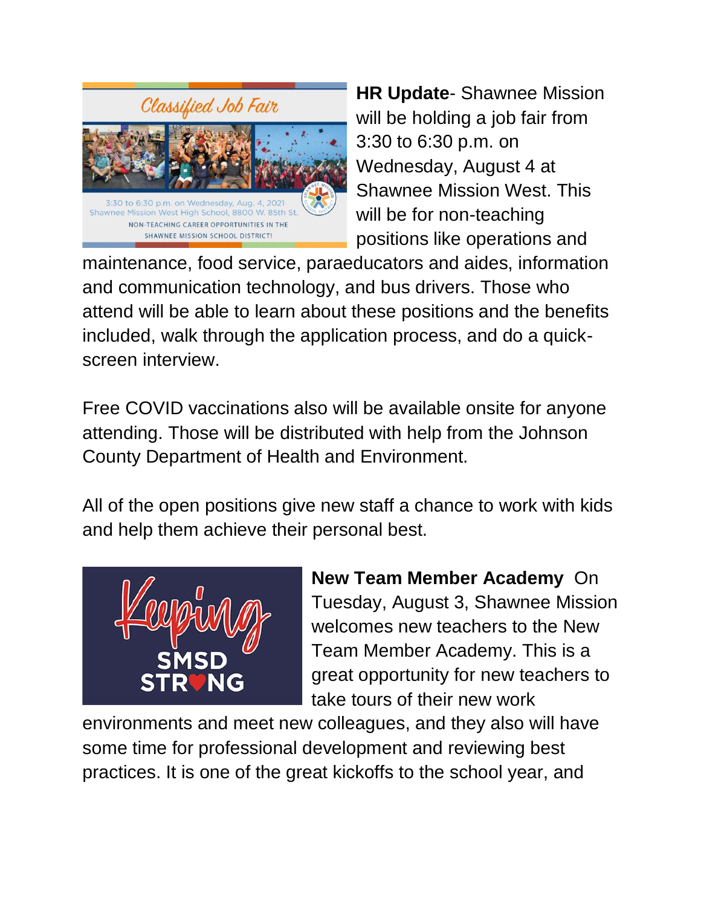

**HR Update**- Shawnee Mission will be holding a job fair from 3:30 to 6:30 p.m. on Wednesday, August 4 at Shawnee Mission West. This will be for non-teaching positions like operations and

maintenance, food service, paraeducators and aides, information and communication technology, and bus drivers. Those who attend will be able to learn about these positions and the benefits included, walk through the application process, and do a quickscreen interview.

Free COVID vaccinations also will be available onsite for anyone attending. Those will be distributed with help from the Johnson County Department of Health and Environment.

All of the open positions give new staff a chance to work with kids and help them achieve their personal best.



**New Team Member Academy** On Tuesday, August 3, Shawnee Mission welcomes new teachers to the New Team Member Academy. This is a great opportunity for new teachers to take tours of their new work

environments and meet new colleagues, and they also will have some time for professional development and reviewing best practices. It is one of the great kickoffs to the school year, and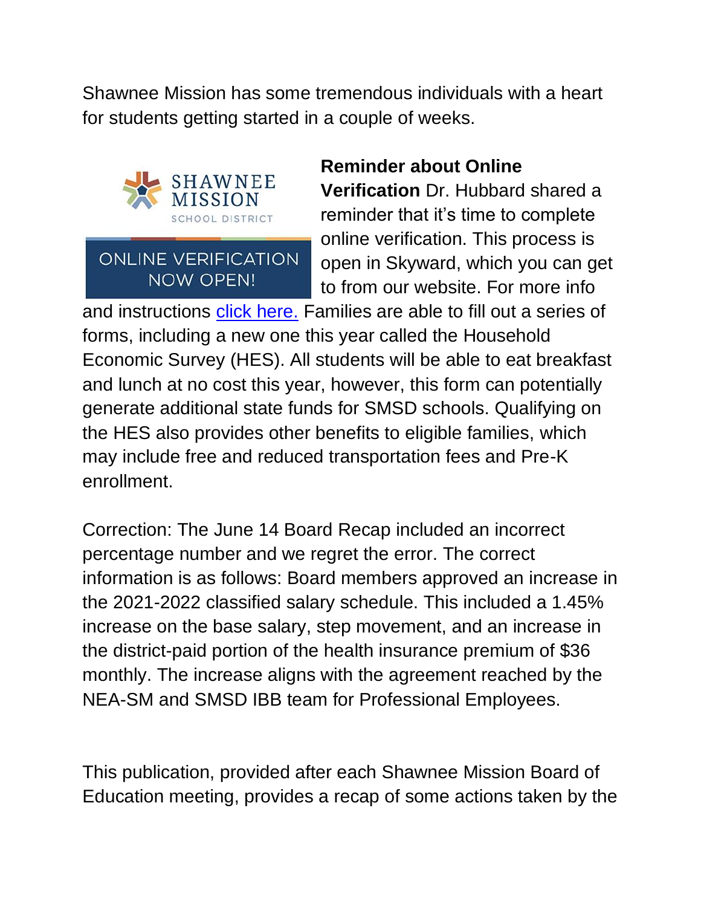Shawnee Mission has some tremendous individuals with a heart for students getting started in a couple of weeks.



#### **ONLINE VERIFICATION NOW OPEN!**

#### **Reminder about Online**

**Verification** Dr. Hubbard shared a reminder that it's time to complete online verification. This process is open in Skyward, which you can get to from our website. For more info

and instructions [click here.](https://www.smsd.org/about/news-archives/news-archive-details/~board/2021-2022-district-news/post/action-needed-time-to-complete-online-verification-forms) Families are able to fill out a series of forms, including a new one this year called the Household Economic Survey (HES). All students will be able to eat breakfast and lunch at no cost this year, however, this form can potentially generate additional state funds for SMSD schools. Qualifying on the HES also provides other benefits to eligible families, which may include free and reduced transportation fees and Pre-K enrollment.

Correction: The June 14 Board Recap included an incorrect percentage number and we regret the error. The correct information is as follows: Board members approved an increase in the 2021-2022 classified salary schedule. This included a 1.45% increase on the base salary, step movement, and an increase in the district-paid portion of the health insurance premium of \$36 monthly. The increase aligns with the agreement reached by the NEA-SM and SMSD IBB team for Professional Employees.

This publication, provided after each Shawnee Mission Board of Education meeting, provides a recap of some actions taken by the